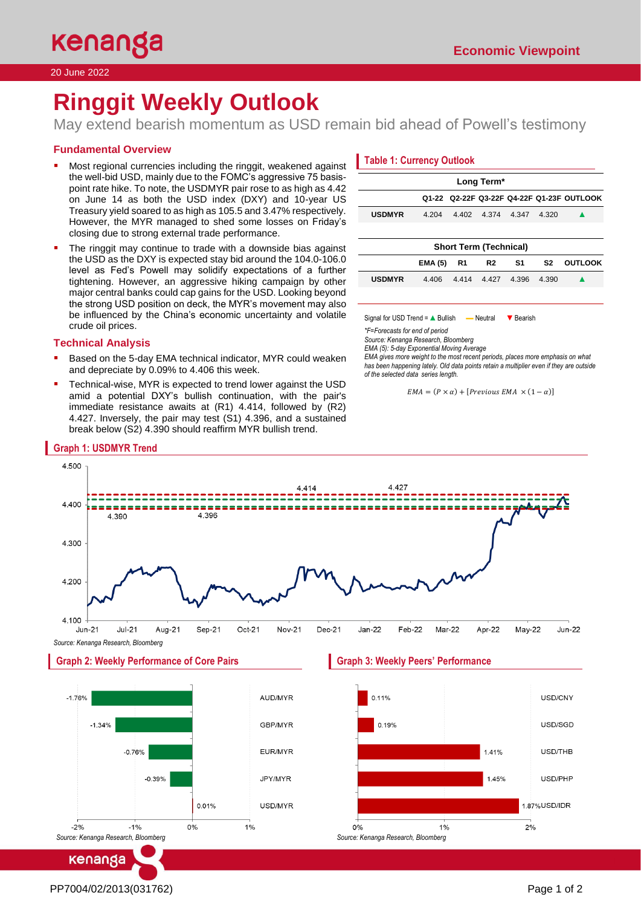20 June 2022

# **Ringgit Weekly Outlook**

May extend bearish momentum as USD remain bid ahead of Powell's testimony

# **Fundamental Overview**

- Most regional currencies including the ringgit, weakened against the well-bid USD, mainly due to the FOMC's aggressive 75 basispoint rate hike. To note, the USDMYR pair rose to as high as 4.42 on June 14 as both the USD index (DXY) and 10-year US Treasury yield soared to as high as 105.5 and 3.47% respectively. However, the MYR managed to shed some losses on Friday's closing due to strong external trade performance.
- The ringgit may continue to trade with a downside bias against the USD as the DXY is expected stay bid around the 104.0-106.0 level as Fed's Powell may solidify expectations of a further tightening. However, an aggressive hiking campaign by other major central banks could cap gains for the USD. Looking beyond the strong USD position on deck, the MYR's movement may also be influenced by the China's economic uncertainty and volatile crude oil prices.

## **Technical Analysis**

**Graph 1: USDMYR Trend**

- Based on the 5-day EMA technical indicator, MYR could weaken and depreciate by 0.09% to 4.406 this week.
- Technical-wise, MYR is expected to trend lower against the USD amid a potential DXY's bullish continuation, with the pair's immediate resistance awaits at (R1) 4.414, followed by (R2) 4.427. Inversely, the pair may test (S1) 4.396, and a sustained break below (S2) 4.390 should reaffirm MYR bullish trend.

# **Table 1: Currency Outlook**

| Long Term*                    |                |       |                |       |       |                                           |  |
|-------------------------------|----------------|-------|----------------|-------|-------|-------------------------------------------|--|
|                               |                |       |                |       |       | Q1-22 Q2-22F Q3-22F Q4-22F Q1-23F OUTLOOK |  |
| <b>USDMYR</b>                 | 4.204          | 4.402 | 4.374          | 4.347 | 4.320 |                                           |  |
|                               |                |       |                |       |       |                                           |  |
| <b>Short Term (Technical)</b> |                |       |                |       |       |                                           |  |
|                               | <b>EMA (5)</b> | R1    | R <sub>2</sub> | S1    | S2    | <b>OUTLOOK</b>                            |  |
| <b>USDMYR</b>                 | 4.406          | 4414  | 4.427          | 4.396 | 4.390 |                                           |  |
|                               |                |       |                |       |       |                                           |  |

Signal for USD Trend = A Bullish — Neutral ▼ Bearish

*\*F=Forecasts for end of period* 

*Source: Kenanga Research, Bloomberg*

*EMA (5): 5-day Exponential Moving Average*

*EMA gives more weight to the most recent periods, places more emphasis on what has been happening lately. Old data points retain a multiplier even if they are outside of the selected data series length.*

```
EMA = (P \times \alpha) + [Previous EMA \times (1 - \alpha)]
```


 $-1%$ 0% *Source: Kenanga Research, Bloomberg*

0.01%

USD/MYR

1%

PP7004/02/2013(031762) Page 1 of 2

kenanga

 $-2%$ 

<sup>1.87%</sup> USD/IDR  $0%$  $1%$  $2%$ *Source: Kenanga Research, Bloomberg*